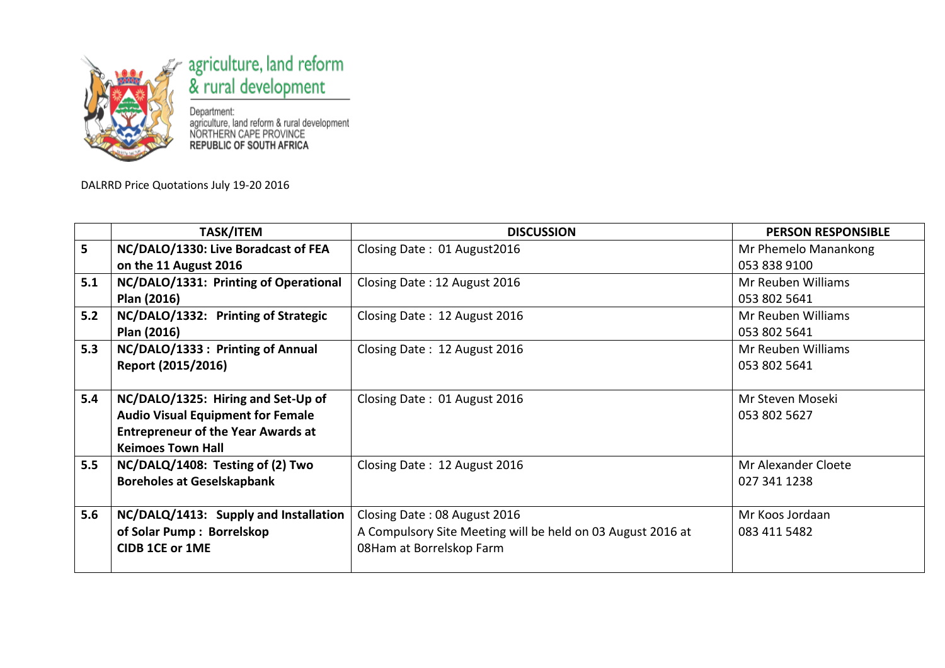

## agriculture, land reform<br>& rural development

Department:<br>agriculture, land reform & rural development<br>NORTHERN CAPE PROVINCE<br>**REPUBLIC OF SOUTH AFRICA** 

DALRRD Price Quotations July 19-20 2016

|     | <b>TASK/ITEM</b>                          | <b>DISCUSSION</b>                                           | <b>PERSON RESPONSIBLE</b> |
|-----|-------------------------------------------|-------------------------------------------------------------|---------------------------|
| 5   | NC/DALO/1330: Live Boradcast of FEA       | Closing Date: 01 August 2016                                | Mr Phemelo Manankong      |
|     | on the 11 August 2016                     |                                                             | 053 838 9100              |
| 5.1 | NC/DALO/1331: Printing of Operational     | Closing Date: 12 August 2016                                | Mr Reuben Williams        |
|     | Plan (2016)                               |                                                             | 053 802 5641              |
| 5.2 | NC/DALO/1332: Printing of Strategic       | Closing Date: 12 August 2016                                | Mr Reuben Williams        |
|     | Plan (2016)                               |                                                             | 053 802 5641              |
| 5.3 | NC/DALO/1333 : Printing of Annual         | Closing Date: 12 August 2016                                | Mr Reuben Williams        |
|     | Report (2015/2016)                        |                                                             | 053 802 5641              |
|     |                                           |                                                             |                           |
| 5.4 | NC/DALO/1325: Hiring and Set-Up of        | Closing Date: 01 August 2016                                | Mr Steven Moseki          |
|     | <b>Audio Visual Equipment for Female</b>  |                                                             | 053 802 5627              |
|     | <b>Entrepreneur of the Year Awards at</b> |                                                             |                           |
|     | <b>Keimoes Town Hall</b>                  |                                                             |                           |
| 5.5 | NC/DALQ/1408: Testing of (2) Two          | Closing Date: 12 August 2016                                | Mr Alexander Cloete       |
|     | <b>Boreholes at Geselskapbank</b>         |                                                             | 027 341 1238              |
|     |                                           |                                                             |                           |
| 5.6 | NC/DALQ/1413: Supply and Installation     | Closing Date: 08 August 2016                                | Mr Koos Jordaan           |
|     | of Solar Pump: Borrelskop                 | A Compulsory Site Meeting will be held on 03 August 2016 at | 083 411 5482              |
|     | <b>CIDB 1CE or 1ME</b>                    | 08Ham at Borrelskop Farm                                    |                           |
|     |                                           |                                                             |                           |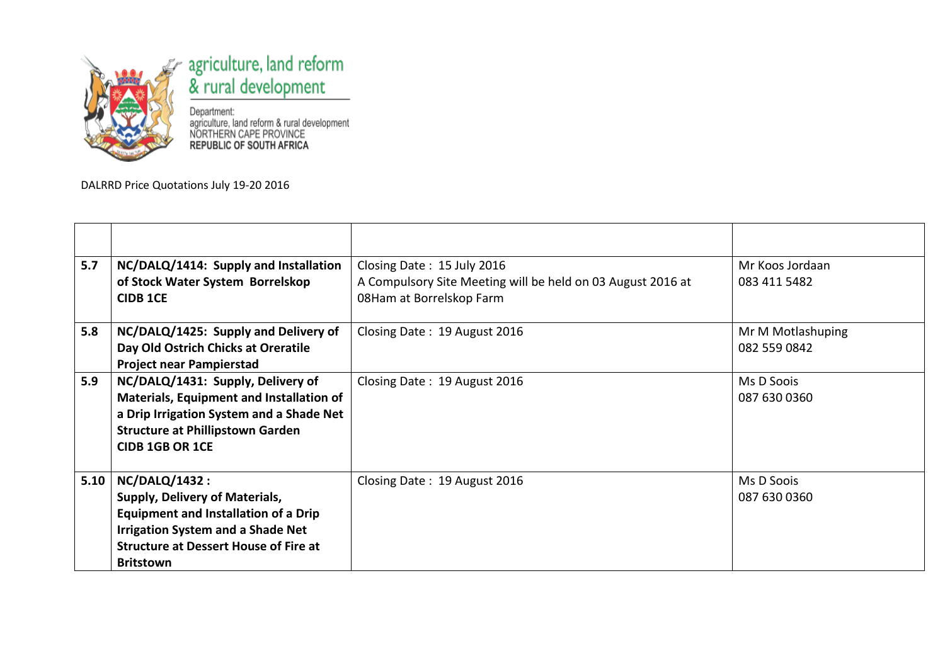

## agriculture, land reform<br>& rural development

Department:<br>agriculture, land reform & rural development<br>NORTHERN CAPE PROVINCE<br>**REPUBLIC OF SOUTH AFRICA** 

DALRRD Price Quotations July 19-20 2016

| 5.7  | NC/DALQ/1414: Supply and Installation<br>of Stock Water System Borrelskop<br><b>CIDB 1CE</b>                                                                                                                          | Closing Date: 15 July 2016<br>A Compulsory Site Meeting will be held on 03 August 2016 at<br>08Ham at Borrelskop Farm | Mr Koos Jordaan<br>083 411 5482   |
|------|-----------------------------------------------------------------------------------------------------------------------------------------------------------------------------------------------------------------------|-----------------------------------------------------------------------------------------------------------------------|-----------------------------------|
| 5.8  | NC/DALQ/1425: Supply and Delivery of<br>Day Old Ostrich Chicks at Oreratile<br><b>Project near Pampierstad</b>                                                                                                        | Closing Date: 19 August 2016                                                                                          | Mr M Motlashuping<br>082 559 0842 |
| 5.9  | NC/DALQ/1431: Supply, Delivery of<br><b>Materials, Equipment and Installation of</b><br>a Drip Irrigation System and a Shade Net<br><b>Structure at Phillipstown Garden</b><br><b>CIDB 1GB OR 1CE</b>                 | Closing Date: 19 August 2016                                                                                          | Ms D Soois<br>087 630 0360        |
| 5.10 | <b>NC/DALQ/1432:</b><br>Supply, Delivery of Materials,<br><b>Equipment and Installation of a Drip</b><br><b>Irrigation System and a Shade Net</b><br><b>Structure at Dessert House of Fire at</b><br><b>Britstown</b> | Closing Date: 19 August 2016                                                                                          | Ms D Soois<br>087 630 0360        |